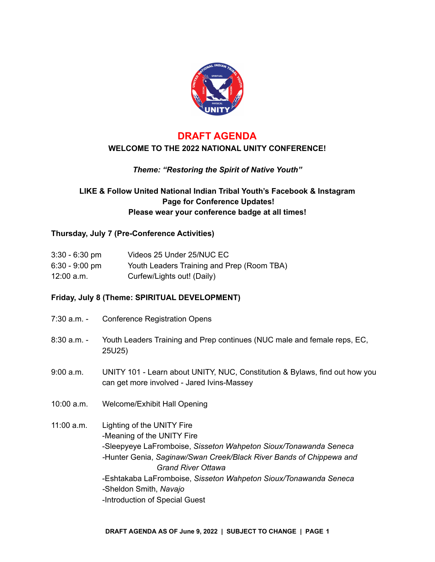

## **DRAFT AGENDA WELCOME TO THE 2022 NATIONAL UNITY CONFERENCE!**

## *Theme: "Restoring the Spirit of Native Youth"*

## **LIKE & Follow United National Indian Tribal Youth's Facebook & Instagram Page for Conference Updates! Please wear your conference badge at all times!**

#### **Thursday, July 7 (Pre-Conference Activities)**

| $3:30 - 6:30$ pm | Videos 25 Under 25/NUC EC                  |
|------------------|--------------------------------------------|
| $6:30 - 9:00$ pm | Youth Leaders Training and Prep (Room TBA) |
| 12:00 a.m.       | Curfew/Lights out! (Daily)                 |

### **Friday, July 8 (Theme: SPIRITUAL DEVELOPMENT)**

- 7:30 a.m. Conference Registration Opens
- 8:30 a.m. Youth Leaders Training and Prep continues (NUC male and female reps, EC, 25U25)
- 9:00 a.m. UNITY 101 Learn about UNITY, NUC, Constitution & Bylaws, find out how you can get more involved - Jared Ivins-Massey
- 10:00 a.m. Welcome/Exhibit Hall Opening
- 11:00 a.m. Lighting of the UNITY Fire -Meaning of the UNITY Fire -Sleepyeye LaFromboise, *Sisseton Wahpeton Sioux/Tonawanda Seneca -*Hunter Genia, *Saginaw/Swan Creek/Black River Bands of Chippewa and Grand River Ottawa* -Eshtakaba LaFromboise, *Sisseton Wahpeton Sioux/Tonawanda Seneca -*Sheldon Smith, *Navajo* -Introduction of Special Guest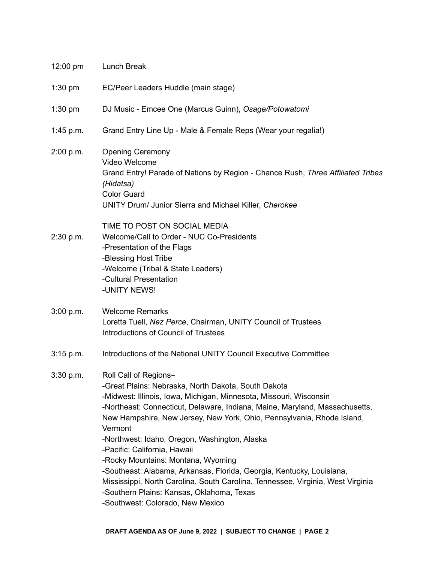| $12:00 \text{ pm}$ | Lunch Break                                                                                                                                                                                                                                                                                                                                                                                                                                                                                                                                                                                                                                                                                |
|--------------------|--------------------------------------------------------------------------------------------------------------------------------------------------------------------------------------------------------------------------------------------------------------------------------------------------------------------------------------------------------------------------------------------------------------------------------------------------------------------------------------------------------------------------------------------------------------------------------------------------------------------------------------------------------------------------------------------|
| $1:30$ pm          | EC/Peer Leaders Huddle (main stage)                                                                                                                                                                                                                                                                                                                                                                                                                                                                                                                                                                                                                                                        |
| $1:30$ pm          | DJ Music - Emcee One (Marcus Guinn), Osage/Potowatomi                                                                                                                                                                                                                                                                                                                                                                                                                                                                                                                                                                                                                                      |
| 1:45 p.m.          | Grand Entry Line Up - Male & Female Reps (Wear your regalia!)                                                                                                                                                                                                                                                                                                                                                                                                                                                                                                                                                                                                                              |
| 2:00 p.m.          | <b>Opening Ceremony</b><br>Video Welcome<br>Grand Entry! Parade of Nations by Region - Chance Rush, Three Affiliated Tribes<br>(Hidatsa)<br><b>Color Guard</b><br>UNITY Drum/ Junior Sierra and Michael Killer, Cherokee                                                                                                                                                                                                                                                                                                                                                                                                                                                                   |
| 2:30 p.m.          | TIME TO POST ON SOCIAL MEDIA<br>Welcome/Call to Order - NUC Co-Presidents<br>-Presentation of the Flags<br>-Blessing Host Tribe<br>-Welcome (Tribal & State Leaders)<br>-Cultural Presentation<br>-UNITY NEWS!                                                                                                                                                                                                                                                                                                                                                                                                                                                                             |
| 3:00 p.m.          | <b>Welcome Remarks</b><br>Loretta Tuell, Nez Perce, Chairman, UNITY Council of Trustees<br><b>Introductions of Council of Trustees</b>                                                                                                                                                                                                                                                                                                                                                                                                                                                                                                                                                     |
| $3:15$ p.m.        | Introductions of the National UNITY Council Executive Committee                                                                                                                                                                                                                                                                                                                                                                                                                                                                                                                                                                                                                            |
| 3:30 p.m.          | Roll Call of Regions-<br>-Great Plains: Nebraska, North Dakota, South Dakota<br>-Midwest: Illinois, Iowa, Michigan, Minnesota, Missouri, Wisconsin<br>-Northeast: Connecticut, Delaware, Indiana, Maine, Maryland, Massachusetts,<br>New Hampshire, New Jersey, New York, Ohio, Pennsylvania, Rhode Island,<br>Vermont<br>-Northwest: Idaho, Oregon, Washington, Alaska<br>-Pacific: California, Hawaii<br>-Rocky Mountains: Montana, Wyoming<br>-Southeast: Alabama, Arkansas, Florida, Georgia, Kentucky, Louisiana,<br>Mississippi, North Carolina, South Carolina, Tennessee, Virginia, West Virginia<br>-Southern Plains: Kansas, Oklahoma, Texas<br>-Southwest: Colorado, New Mexico |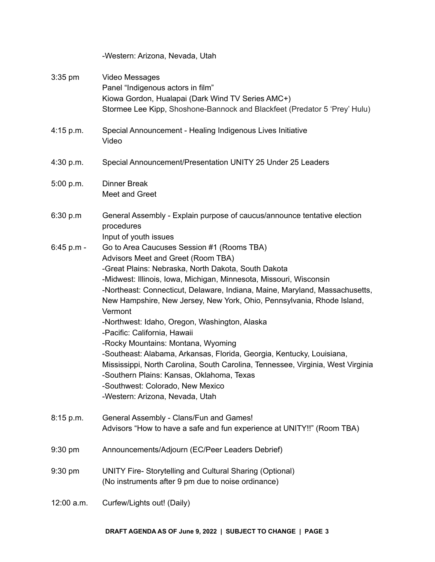-Western: Arizona, Nevada, Utah

3:35 pm Video Messages

- Panel "Indigenous actors in film" Kiowa Gordon, Hualapai (Dark Wind TV Series AMC+) Stormee Lee Kipp, Shoshone-Bannock and Blackfeet (Predator 5 'Prey' Hulu) 4:15 p.m. Special Announcement - Healing Indigenous Lives Initiative Video 4:30 p.m. Special Announcement/Presentation UNITY 25 Under 25 Leaders 5:00 p.m. Dinner Break Meet and Greet 6:30 p.m General Assembly - Explain purpose of caucus/announce tentative election procedures Input of youth issues 6:45 p.m - Go to Area Caucuses Session #1 (Rooms TBA) Advisors Meet and Greet (Room TBA) -Great Plains: Nebraska, North Dakota, South Dakota -Midwest: Illinois, Iowa, Michigan, Minnesota, Missouri, Wisconsin -Northeast: Connecticut, Delaware, Indiana, Maine, Maryland, Massachusetts, New Hampshire, New Jersey, New York, Ohio, Pennsylvania, Rhode Island, Vermont -Northwest: Idaho, Oregon, Washington, Alaska -Pacific: California, Hawaii -Rocky Mountains: Montana, Wyoming -Southeast: Alabama, Arkansas, Florida, Georgia, Kentucky, Louisiana, Mississippi, North Carolina, South Carolina, Tennessee, Virginia, West Virginia -Southern Plains: Kansas, Oklahoma, Texas -Southwest: Colorado, New Mexico -Western: Arizona, Nevada, Utah 8:15 p.m. General Assembly - Clans/Fun and Games! Advisors "How to have a safe and fun experience at UNITY!!" (Room TBA) 9:30 pm Announcements/Adjourn (EC/Peer Leaders Debrief) 9:30 pm UNITY Fire- Storytelling and Cultural Sharing (Optional) (No instruments after 9 pm due to noise ordinance)
- 12:00 a.m. Curfew/Lights out! (Daily)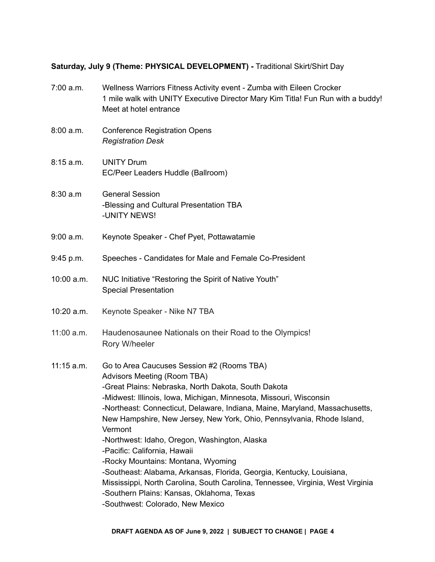# **Saturday, July 9 (Theme: PHYSICAL DEVELOPMENT) -** Traditional Skirt/Shirt Day

| 7:00 a.m.    | Wellness Warriors Fitness Activity event - Zumba with Eileen Crocker<br>1 mile walk with UNITY Executive Director Mary Kim Titla! Fun Run with a buddy!<br>Meet at hotel entrance                                                                                                                                                                                                                                                                                                                                                                                                                                                                                                                                                              |
|--------------|------------------------------------------------------------------------------------------------------------------------------------------------------------------------------------------------------------------------------------------------------------------------------------------------------------------------------------------------------------------------------------------------------------------------------------------------------------------------------------------------------------------------------------------------------------------------------------------------------------------------------------------------------------------------------------------------------------------------------------------------|
| 8:00 a.m.    | <b>Conference Registration Opens</b><br><b>Registration Desk</b>                                                                                                                                                                                                                                                                                                                                                                                                                                                                                                                                                                                                                                                                               |
| 8:15 a.m.    | <b>UNITY Drum</b><br>EC/Peer Leaders Huddle (Ballroom)                                                                                                                                                                                                                                                                                                                                                                                                                                                                                                                                                                                                                                                                                         |
| 8:30 a.m     | <b>General Session</b><br>-Blessing and Cultural Presentation TBA<br>-UNITY NEWS!                                                                                                                                                                                                                                                                                                                                                                                                                                                                                                                                                                                                                                                              |
| 9:00 a.m.    | Keynote Speaker - Chef Pyet, Pottawatamie                                                                                                                                                                                                                                                                                                                                                                                                                                                                                                                                                                                                                                                                                                      |
| 9:45 p.m.    | Speeches - Candidates for Male and Female Co-President                                                                                                                                                                                                                                                                                                                                                                                                                                                                                                                                                                                                                                                                                         |
| 10:00 a.m.   | NUC Initiative "Restoring the Spirit of Native Youth"<br><b>Special Presentation</b>                                                                                                                                                                                                                                                                                                                                                                                                                                                                                                                                                                                                                                                           |
| 10:20 a.m.   | Keynote Speaker - Nike N7 TBA                                                                                                                                                                                                                                                                                                                                                                                                                                                                                                                                                                                                                                                                                                                  |
| 11:00 a.m.   | Haudenosaunee Nationals on their Road to the Olympics!<br>Rory W/heeler                                                                                                                                                                                                                                                                                                                                                                                                                                                                                                                                                                                                                                                                        |
| $11:15$ a.m. | Go to Area Caucuses Session #2 (Rooms TBA)<br>Advisors Meeting (Room TBA)<br>-Great Plains: Nebraska, North Dakota, South Dakota<br>-Midwest: Illinois, Iowa, Michigan, Minnesota, Missouri, Wisconsin<br>-Northeast: Connecticut, Delaware, Indiana, Maine, Maryland, Massachusetts,<br>New Hampshire, New Jersey, New York, Ohio, Pennsylvania, Rhode Island,<br>Vermont<br>-Northwest: Idaho, Oregon, Washington, Alaska<br>-Pacific: California, Hawaii<br>-Rocky Mountains: Montana, Wyoming<br>-Southeast: Alabama, Arkansas, Florida, Georgia, Kentucky, Louisiana,<br>Mississippi, North Carolina, South Carolina, Tennessee, Virginia, West Virginia<br>-Southern Plains: Kansas, Oklahoma, Texas<br>-Southwest: Colorado, New Mexico |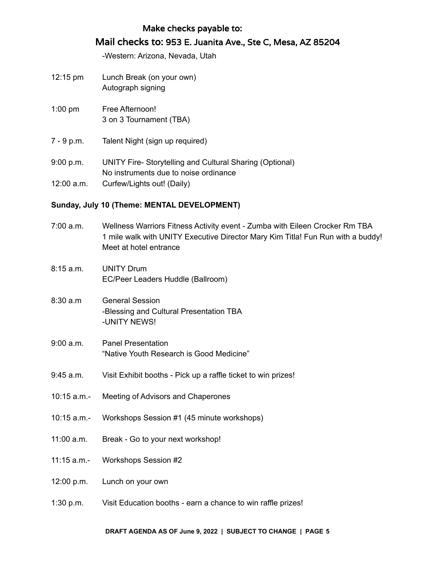## Make checks payable to:

# Mail checks to: 953 E. Juanita Ave., Ste C, Mesa, AZ 85204

-Western: Arizona, Nevada, Utah

- 12:15 pm Lunch Break (on your own) Autograph signing
- 1:00 pm Free Afternoon! 3 on 3 Tournament (TBA)
- 7 9 p.m. Talent Night (sign up required)
- 9:00 p.m. UNITY Fire- Storytelling and Cultural Sharing (Optional) No instruments due to noise ordinance 12:00 a.m. Curfew/Lights out! (Daily)

#### **Sunday, July 10 (Theme: MENTAL DEVELOPMENT)**

| 7:00 a.m.     | Wellness Warriors Fitness Activity event - Zumba with Eileen Crocker Rm TBA<br>1 mile walk with UNITY Executive Director Mary Kim Titla! Fun Run with a buddy!<br>Meet at hotel entrance |
|---------------|------------------------------------------------------------------------------------------------------------------------------------------------------------------------------------------|
| 8:15a.m.      | <b>UNITY Drum</b><br>EC/Peer Leaders Huddle (Ballroom)                                                                                                                                   |
| 8:30a.m       | <b>General Session</b><br>-Blessing and Cultural Presentation TBA<br>-UNITY NEWS!                                                                                                        |
| 9:00 a.m.     | <b>Panel Presentation</b><br>"Native Youth Research is Good Medicine"                                                                                                                    |
| 9:45 a.m.     | Visit Exhibit booths - Pick up a raffle ticket to win prizes!                                                                                                                            |
| $10:15$ a.m.- | Meeting of Advisors and Chaperones                                                                                                                                                       |
| 10:15 a.m.-   | Workshops Session #1 (45 minute workshops)                                                                                                                                               |
| $11:00$ a.m.  | Break - Go to your next workshop!                                                                                                                                                        |
| $11:15$ a.m.- | <b>Workshops Session #2</b>                                                                                                                                                              |
| 12:00 p.m.    | Lunch on your own                                                                                                                                                                        |
| 1:30 p.m.     | Visit Education booths - earn a chance to win raffle prizes!                                                                                                                             |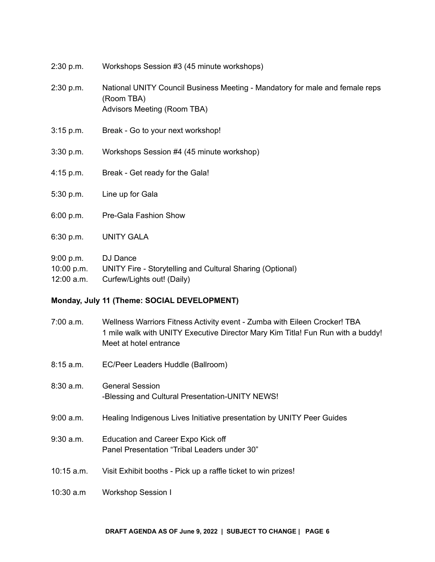| 2:30 p.m.   | Workshops Session #3 (45 minute workshops)                                                                                |
|-------------|---------------------------------------------------------------------------------------------------------------------------|
| 2:30 p.m.   | National UNITY Council Business Meeting - Mandatory for male and female reps<br>(Room TBA)<br>Advisors Meeting (Room TBA) |
| $3:15$ p.m. | Break - Go to your next workshop!                                                                                         |
| 3:30 p.m.   | Workshops Session #4 (45 minute workshop)                                                                                 |
| $4:15$ p.m. | Break - Get ready for the Gala!                                                                                           |
| 5:30 p.m.   | Line up for Gala                                                                                                          |
| 6:00 p.m.   | Pre-Gala Fashion Show                                                                                                     |
| 6:30 p.m.   | <b>UNITY GALA</b>                                                                                                         |
| 9:00 p.m.   | DJ Dance                                                                                                                  |

10:00 p.m. UNITY Fire - Storytelling and Cultural Sharing (Optional)

12:00 a.m. Curfew/Lights out! (Daily)

#### **Monday, July 11 (Theme: SOCIAL DEVELOPMENT)**

- 7:00 a.m. Wellness Warriors Fitness Activity event Zumba with Eileen Crocker! TBA 1 mile walk with UNITY Executive Director Mary Kim Titla! Fun Run with a buddy! Meet at hotel entrance
- 8:15 a.m. EC/Peer Leaders Huddle (Ballroom)
- 8:30 a.m. General Session -Blessing and Cultural Presentation-UNITY NEWS!
- 9:00 a.m. Healing Indigenous Lives Initiative presentation by UNITY Peer Guides
- 9:30 a.m. Education and Career Expo Kick off Panel Presentation "Tribal Leaders under 30"
- 10:15 a.m. Visit Exhibit booths Pick up a raffle ticket to win prizes!
- 10:30 a.m Workshop Session I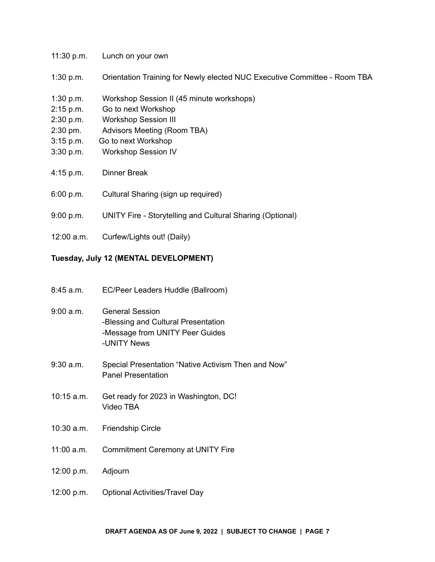| 11:30 p.m.  | Lunch on your own                                                         |
|-------------|---------------------------------------------------------------------------|
| $1:30$ p.m. | Orientation Training for Newly elected NUC Executive Committee - Room TBA |

- 1:30 p.m. Workshop Session II (45 minute workshops)
- 2:15 p.m. Go to next Workshop
- 2:30 p.m. Workshop Session III
- 2:30 pm. Advisors Meeting (Room TBA)
- 3:15 p.m. Go to next Workshop
- 3:30 p.m. Workshop Session IV
- 4:15 p.m. Dinner Break
- 6:00 p.m. Cultural Sharing (sign up required)
- 9:00 p.m. UNITY Fire Storytelling and Cultural Sharing (Optional)
- 12:00 a.m. Curfew/Lights out! (Daily)

#### **Tuesday, July 12 (MENTAL DEVELOPMENT)**

- 8:45 a.m. EC/Peer Leaders Huddle (Ballroom)
- 9:00 a.m. General Session -Blessing and Cultural Presentation -Message from UNITY Peer Guides -UNITY News
- 9:30 a.m. Special Presentation "Native Activism Then and Now" Panel Presentation
- 10:15 a.m. Get ready for 2023 in Washington, DC! Video TBA
- 10:30 a.m. Friendship Circle
- 11:00 a.m. Commitment Ceremony at UNITY Fire
- 12:00 p.m. Adjourn
- 12:00 p.m. Optional Activities/Travel Day